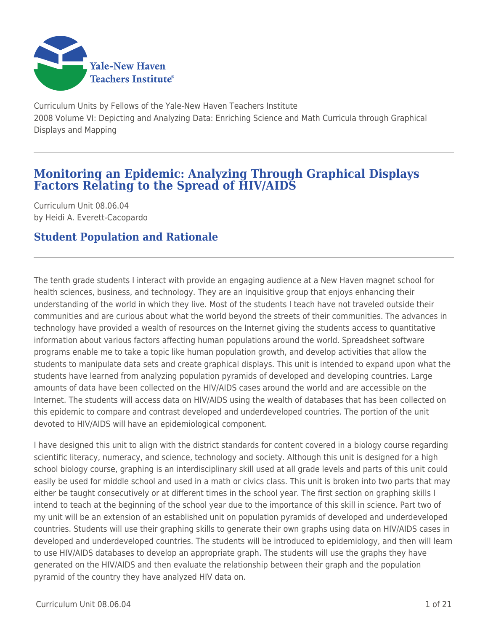

Curriculum Units by Fellows of the Yale-New Haven Teachers Institute 2008 Volume VI: Depicting and Analyzing Data: Enriching Science and Math Curricula through Graphical Displays and Mapping

# **Monitoring an Epidemic: Analyzing Through Graphical Displays Factors Relating to the Spread of HIV/AIDS**

Curriculum Unit 08.06.04 by Heidi A. Everett-Cacopardo

## **Student Population and Rationale**

The tenth grade students I interact with provide an engaging audience at a New Haven magnet school for health sciences, business, and technology. They are an inquisitive group that enjoys enhancing their understanding of the world in which they live. Most of the students I teach have not traveled outside their communities and are curious about what the world beyond the streets of their communities. The advances in technology have provided a wealth of resources on the Internet giving the students access to quantitative information about various factors affecting human populations around the world. Spreadsheet software programs enable me to take a topic like human population growth, and develop activities that allow the students to manipulate data sets and create graphical displays. This unit is intended to expand upon what the students have learned from analyzing population pyramids of developed and developing countries. Large amounts of data have been collected on the HIV/AIDS cases around the world and are accessible on the Internet. The students will access data on HIV/AIDS using the wealth of databases that has been collected on this epidemic to compare and contrast developed and underdeveloped countries. The portion of the unit devoted to HIV/AIDS will have an epidemiological component.

I have designed this unit to align with the district standards for content covered in a biology course regarding scientific literacy, numeracy, and science, technology and society. Although this unit is designed for a high school biology course, graphing is an interdisciplinary skill used at all grade levels and parts of this unit could easily be used for middle school and used in a math or civics class. This unit is broken into two parts that may either be taught consecutively or at different times in the school year. The first section on graphing skills I intend to teach at the beginning of the school year due to the importance of this skill in science. Part two of my unit will be an extension of an established unit on population pyramids of developed and underdeveloped countries. Students will use their graphing skills to generate their own graphs using data on HIV/AIDS cases in developed and underdeveloped countries. The students will be introduced to epidemiology, and then will learn to use HIV/AIDS databases to develop an appropriate graph. The students will use the graphs they have generated on the HIV/AIDS and then evaluate the relationship between their graph and the population pyramid of the country they have analyzed HIV data on.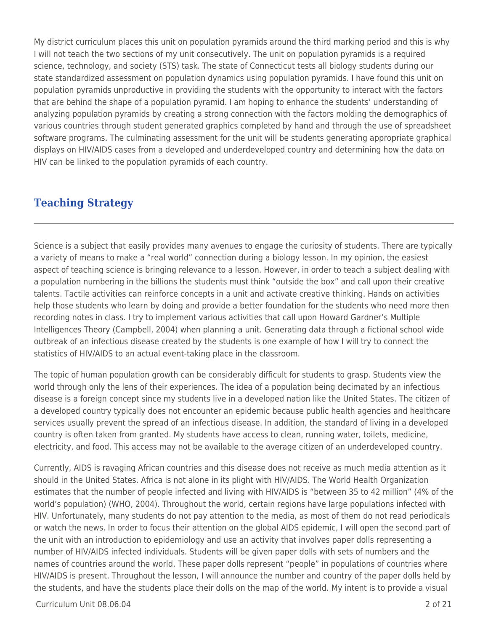My district curriculum places this unit on population pyramids around the third marking period and this is why I will not teach the two sections of my unit consecutively. The unit on population pyramids is a required science, technology, and society (STS) task. The state of Connecticut tests all biology students during our state standardized assessment on population dynamics using population pyramids. I have found this unit on population pyramids unproductive in providing the students with the opportunity to interact with the factors that are behind the shape of a population pyramid. I am hoping to enhance the students' understanding of analyzing population pyramids by creating a strong connection with the factors molding the demographics of various countries through student generated graphics completed by hand and through the use of spreadsheet software programs. The culminating assessment for the unit will be students generating appropriate graphical displays on HIV/AIDS cases from a developed and underdeveloped country and determining how the data on HIV can be linked to the population pyramids of each country.

### **Teaching Strategy**

Science is a subject that easily provides many avenues to engage the curiosity of students. There are typically a variety of means to make a "real world" connection during a biology lesson. In my opinion, the easiest aspect of teaching science is bringing relevance to a lesson. However, in order to teach a subject dealing with a population numbering in the billions the students must think "outside the box" and call upon their creative talents. Tactile activities can reinforce concepts in a unit and activate creative thinking. Hands on activities help those students who learn by doing and provide a better foundation for the students who need more then recording notes in class. I try to implement various activities that call upon Howard Gardner's Multiple Intelligences Theory (Campbell, 2004) when planning a unit. Generating data through a fictional school wide outbreak of an infectious disease created by the students is one example of how I will try to connect the statistics of HIV/AIDS to an actual event-taking place in the classroom.

The topic of human population growth can be considerably difficult for students to grasp. Students view the world through only the lens of their experiences. The idea of a population being decimated by an infectious disease is a foreign concept since my students live in a developed nation like the United States. The citizen of a developed country typically does not encounter an epidemic because public health agencies and healthcare services usually prevent the spread of an infectious disease. In addition, the standard of living in a developed country is often taken from granted. My students have access to clean, running water, toilets, medicine, electricity, and food. This access may not be available to the average citizen of an underdeveloped country.

Currently, AIDS is ravaging African countries and this disease does not receive as much media attention as it should in the United States. Africa is not alone in its plight with HIV/AIDS. The World Health Organization estimates that the number of people infected and living with HIV/AIDS is "between 35 to 42 million" (4% of the world's population) (WHO, 2004). Throughout the world, certain regions have large populations infected with HIV. Unfortunately, many students do not pay attention to the media, as most of them do not read periodicals or watch the news. In order to focus their attention on the global AIDS epidemic, I will open the second part of the unit with an introduction to epidemiology and use an activity that involves paper dolls representing a number of HIV/AIDS infected individuals. Students will be given paper dolls with sets of numbers and the names of countries around the world. These paper dolls represent "people" in populations of countries where HIV/AIDS is present. Throughout the lesson, I will announce the number and country of the paper dolls held by the students, and have the students place their dolls on the map of the world. My intent is to provide a visual

Curriculum Unit 08.06.04 2 of 21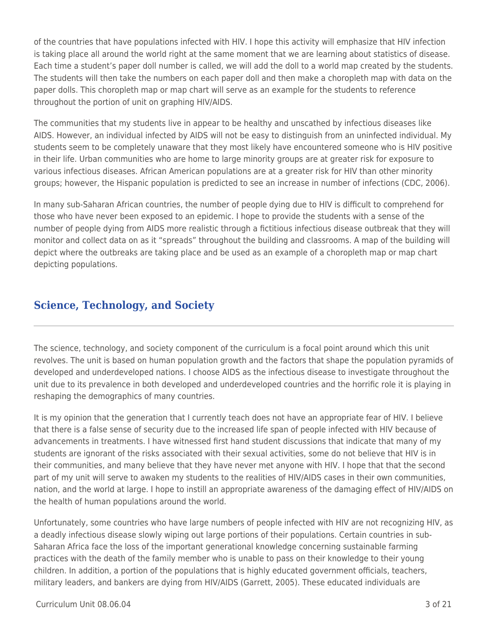of the countries that have populations infected with HIV. I hope this activity will emphasize that HIV infection is taking place all around the world right at the same moment that we are learning about statistics of disease. Each time a student's paper doll number is called, we will add the doll to a world map created by the students. The students will then take the numbers on each paper doll and then make a choropleth map with data on the paper dolls. This choropleth map or map chart will serve as an example for the students to reference throughout the portion of unit on graphing HIV/AIDS.

The communities that my students live in appear to be healthy and unscathed by infectious diseases like AIDS. However, an individual infected by AIDS will not be easy to distinguish from an uninfected individual. My students seem to be completely unaware that they most likely have encountered someone who is HIV positive in their life. Urban communities who are home to large minority groups are at greater risk for exposure to various infectious diseases. African American populations are at a greater risk for HIV than other minority groups; however, the Hispanic population is predicted to see an increase in number of infections (CDC, 2006).

In many sub-Saharan African countries, the number of people dying due to HIV is difficult to comprehend for those who have never been exposed to an epidemic. I hope to provide the students with a sense of the number of people dying from AIDS more realistic through a fictitious infectious disease outbreak that they will monitor and collect data on as it "spreads" throughout the building and classrooms. A map of the building will depict where the outbreaks are taking place and be used as an example of a choropleth map or map chart depicting populations.

# **Science, Technology, and Society**

The science, technology, and society component of the curriculum is a focal point around which this unit revolves. The unit is based on human population growth and the factors that shape the population pyramids of developed and underdeveloped nations. I choose AIDS as the infectious disease to investigate throughout the unit due to its prevalence in both developed and underdeveloped countries and the horrific role it is playing in reshaping the demographics of many countries.

It is my opinion that the generation that I currently teach does not have an appropriate fear of HIV. I believe that there is a false sense of security due to the increased life span of people infected with HIV because of advancements in treatments. I have witnessed first hand student discussions that indicate that many of my students are ignorant of the risks associated with their sexual activities, some do not believe that HIV is in their communities, and many believe that they have never met anyone with HIV. I hope that that the second part of my unit will serve to awaken my students to the realities of HIV/AIDS cases in their own communities, nation, and the world at large. I hope to instill an appropriate awareness of the damaging effect of HIV/AIDS on the health of human populations around the world.

Unfortunately, some countries who have large numbers of people infected with HIV are not recognizing HIV, as a deadly infectious disease slowly wiping out large portions of their populations. Certain countries in sub-Saharan Africa face the loss of the important generational knowledge concerning sustainable farming practices with the death of the family member who is unable to pass on their knowledge to their young children. In addition, a portion of the populations that is highly educated government officials, teachers, military leaders, and bankers are dying from HIV/AIDS (Garrett, 2005). These educated individuals are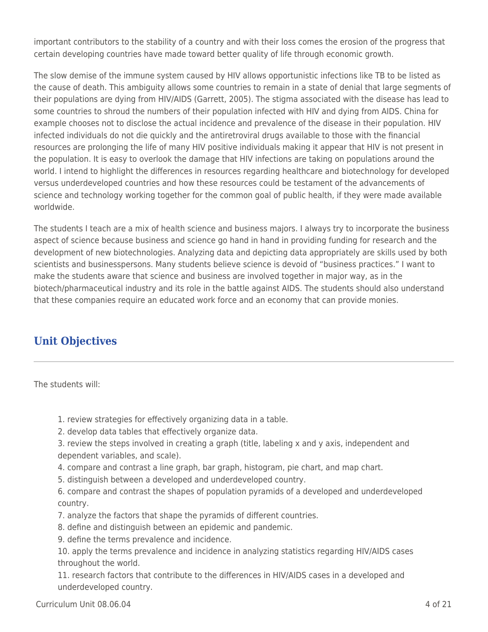important contributors to the stability of a country and with their loss comes the erosion of the progress that certain developing countries have made toward better quality of life through economic growth.

The slow demise of the immune system caused by HIV allows opportunistic infections like TB to be listed as the cause of death. This ambiguity allows some countries to remain in a state of denial that large segments of their populations are dying from HIV/AIDS (Garrett, 2005). The stigma associated with the disease has lead to some countries to shroud the numbers of their population infected with HIV and dying from AIDS. China for example chooses not to disclose the actual incidence and prevalence of the disease in their population. HIV infected individuals do not die quickly and the antiretroviral drugs available to those with the financial resources are prolonging the life of many HIV positive individuals making it appear that HIV is not present in the population. It is easy to overlook the damage that HIV infections are taking on populations around the world. I intend to highlight the differences in resources regarding healthcare and biotechnology for developed versus underdeveloped countries and how these resources could be testament of the advancements of science and technology working together for the common goal of public health, if they were made available worldwide.

The students I teach are a mix of health science and business majors. I always try to incorporate the business aspect of science because business and science go hand in hand in providing funding for research and the development of new biotechnologies. Analyzing data and depicting data appropriately are skills used by both scientists and businesspersons. Many students believe science is devoid of "business practices." I want to make the students aware that science and business are involved together in major way, as in the biotech/pharmaceutical industry and its role in the battle against AIDS. The students should also understand that these companies require an educated work force and an economy that can provide monies.

## **Unit Objectives**

The students will:

- 1. review strategies for effectively organizing data in a table.
- 2. develop data tables that effectively organize data.
- 3. review the steps involved in creating a graph (title, labeling x and y axis, independent and dependent variables, and scale).
- 4. compare and contrast a line graph, bar graph, histogram, pie chart, and map chart.
- 5. distinguish between a developed and underdeveloped country.
- 6. compare and contrast the shapes of population pyramids of a developed and underdeveloped country.
- 7. analyze the factors that shape the pyramids of different countries.
- 8. define and distinguish between an epidemic and pandemic.
- 9. define the terms prevalence and incidence.

10. apply the terms prevalence and incidence in analyzing statistics regarding HIV/AIDS cases throughout the world.

11. research factors that contribute to the differences in HIV/AIDS cases in a developed and underdeveloped country.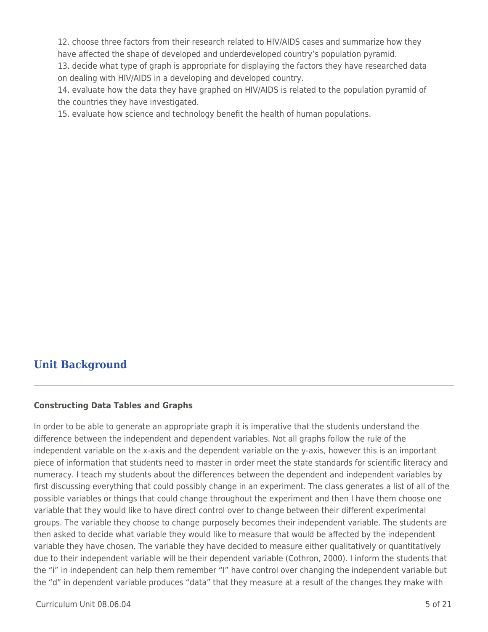12. choose three factors from their research related to HIV/AIDS cases and summarize how they have affected the shape of developed and underdeveloped country's population pyramid.

13. decide what type of graph is appropriate for displaying the factors they have researched data on dealing with HIV/AIDS in a developing and developed country.

14. evaluate how the data they have graphed on HIV/AIDS is related to the population pyramid of the countries they have investigated.

15. evaluate how science and technology benefit the health of human populations.

### **Unit Background**

#### **Constructing Data Tables and Graphs**

In order to be able to generate an appropriate graph it is imperative that the students understand the difference between the independent and dependent variables. Not all graphs follow the rule of the independent variable on the x-axis and the dependent variable on the y-axis, however this is an important piece of information that students need to master in order meet the state standards for scientific literacy and numeracy. I teach my students about the differences between the dependent and independent variables by first discussing everything that could possibly change in an experiment. The class generates a list of all of the possible variables or things that could change throughout the experiment and then I have them choose one variable that they would like to have direct control over to change between their different experimental groups. The variable they choose to change purposely becomes their independent variable. The students are then asked to decide what variable they would like to measure that would be affected by the independent variable they have chosen. The variable they have decided to measure either qualitatively or quantitatively due to their independent variable will be their dependent variable (Cothron, 2000). I inform the students that the "i" in independent can help them remember "I" have control over changing the independent variable but the "d" in dependent variable produces "data" that they measure at a result of the changes they make with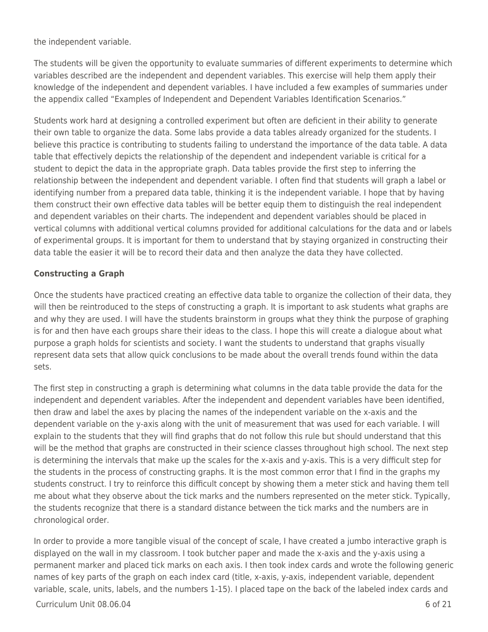the independent variable.

The students will be given the opportunity to evaluate summaries of different experiments to determine which variables described are the independent and dependent variables. This exercise will help them apply their knowledge of the independent and dependent variables. I have included a few examples of summaries under the appendix called "Examples of Independent and Dependent Variables Identification Scenarios."

Students work hard at designing a controlled experiment but often are deficient in their ability to generate their own table to organize the data. Some labs provide a data tables already organized for the students. I believe this practice is contributing to students failing to understand the importance of the data table. A data table that effectively depicts the relationship of the dependent and independent variable is critical for a student to depict the data in the appropriate graph. Data tables provide the first step to inferring the relationship between the independent and dependent variable. I often find that students will graph a label or identifying number from a prepared data table, thinking it is the independent variable. I hope that by having them construct their own effective data tables will be better equip them to distinguish the real independent and dependent variables on their charts. The independent and dependent variables should be placed in vertical columns with additional vertical columns provided for additional calculations for the data and or labels of experimental groups. It is important for them to understand that by staying organized in constructing their data table the easier it will be to record their data and then analyze the data they have collected.

### **Constructing a Graph**

Once the students have practiced creating an effective data table to organize the collection of their data, they will then be reintroduced to the steps of constructing a graph. It is important to ask students what graphs are and why they are used. I will have the students brainstorm in groups what they think the purpose of graphing is for and then have each groups share their ideas to the class. I hope this will create a dialogue about what purpose a graph holds for scientists and society. I want the students to understand that graphs visually represent data sets that allow quick conclusions to be made about the overall trends found within the data sets.

The first step in constructing a graph is determining what columns in the data table provide the data for the independent and dependent variables. After the independent and dependent variables have been identified, then draw and label the axes by placing the names of the independent variable on the x-axis and the dependent variable on the y-axis along with the unit of measurement that was used for each variable. I will explain to the students that they will find graphs that do not follow this rule but should understand that this will be the method that graphs are constructed in their science classes throughout high school. The next step is determining the intervals that make up the scales for the x-axis and y-axis. This is a very difficult step for the students in the process of constructing graphs. It is the most common error that I find in the graphs my students construct. I try to reinforce this difficult concept by showing them a meter stick and having them tell me about what they observe about the tick marks and the numbers represented on the meter stick. Typically, the students recognize that there is a standard distance between the tick marks and the numbers are in chronological order.

In order to provide a more tangible visual of the concept of scale, I have created a jumbo interactive graph is displayed on the wall in my classroom. I took butcher paper and made the x-axis and the y-axis using a permanent marker and placed tick marks on each axis. I then took index cards and wrote the following generic names of key parts of the graph on each index card (title, x-axis, y-axis, independent variable, dependent variable, scale, units, labels, and the numbers 1-15). I placed tape on the back of the labeled index cards and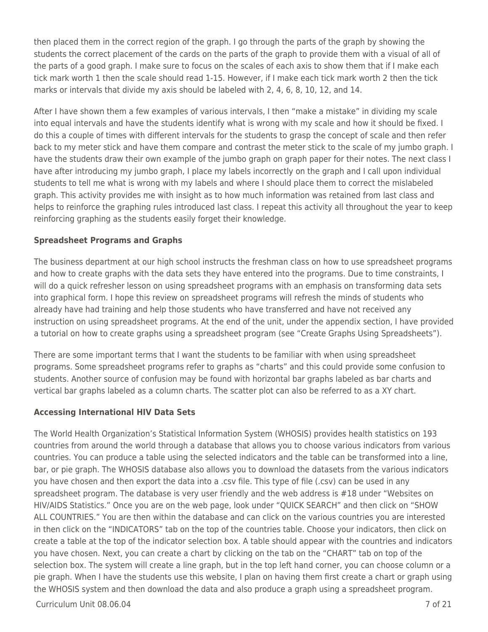then placed them in the correct region of the graph. I go through the parts of the graph by showing the students the correct placement of the cards on the parts of the graph to provide them with a visual of all of the parts of a good graph. I make sure to focus on the scales of each axis to show them that if I make each tick mark worth 1 then the scale should read 1-15. However, if I make each tick mark worth 2 then the tick marks or intervals that divide my axis should be labeled with 2, 4, 6, 8, 10, 12, and 14.

After I have shown them a few examples of various intervals, I then "make a mistake" in dividing my scale into equal intervals and have the students identify what is wrong with my scale and how it should be fixed. I do this a couple of times with different intervals for the students to grasp the concept of scale and then refer back to my meter stick and have them compare and contrast the meter stick to the scale of my jumbo graph. I have the students draw their own example of the jumbo graph on graph paper for their notes. The next class I have after introducing my jumbo graph, I place my labels incorrectly on the graph and I call upon individual students to tell me what is wrong with my labels and where I should place them to correct the mislabeled graph. This activity provides me with insight as to how much information was retained from last class and helps to reinforce the graphing rules introduced last class. I repeat this activity all throughout the year to keep reinforcing graphing as the students easily forget their knowledge.

#### **Spreadsheet Programs and Graphs**

The business department at our high school instructs the freshman class on how to use spreadsheet programs and how to create graphs with the data sets they have entered into the programs. Due to time constraints, I will do a quick refresher lesson on using spreadsheet programs with an emphasis on transforming data sets into graphical form. I hope this review on spreadsheet programs will refresh the minds of students who already have had training and help those students who have transferred and have not received any instruction on using spreadsheet programs. At the end of the unit, under the appendix section, I have provided a tutorial on how to create graphs using a spreadsheet program (see "Create Graphs Using Spreadsheets").

There are some important terms that I want the students to be familiar with when using spreadsheet programs. Some spreadsheet programs refer to graphs as "charts" and this could provide some confusion to students. Another source of confusion may be found with horizontal bar graphs labeled as bar charts and vertical bar graphs labeled as a column charts. The scatter plot can also be referred to as a XY chart.

#### **Accessing International HIV Data Sets**

The World Health Organization's Statistical Information System (WHOSIS) provides health statistics on 193 countries from around the world through a database that allows you to choose various indicators from various countries. You can produce a table using the selected indicators and the table can be transformed into a line, bar, or pie graph. The WHOSIS database also allows you to download the datasets from the various indicators you have chosen and then export the data into a .csv file. This type of file (.csv) can be used in any spreadsheet program. The database is very user friendly and the web address is #18 under "Websites on HIV/AIDS Statistics." Once you are on the web page, look under "QUICK SEARCH" and then click on "SHOW ALL COUNTRIES." You are then within the database and can click on the various countries you are interested in then click on the "INDICATORS" tab on the top of the countries table. Choose your indicators, then click on create a table at the top of the indicator selection box. A table should appear with the countries and indicators you have chosen. Next, you can create a chart by clicking on the tab on the "CHART" tab on top of the selection box. The system will create a line graph, but in the top left hand corner, you can choose column or a pie graph. When I have the students use this website, I plan on having them first create a chart or graph using the WHOSIS system and then download the data and also produce a graph using a spreadsheet program.

Curriculum Unit 08.06.04 7 of 21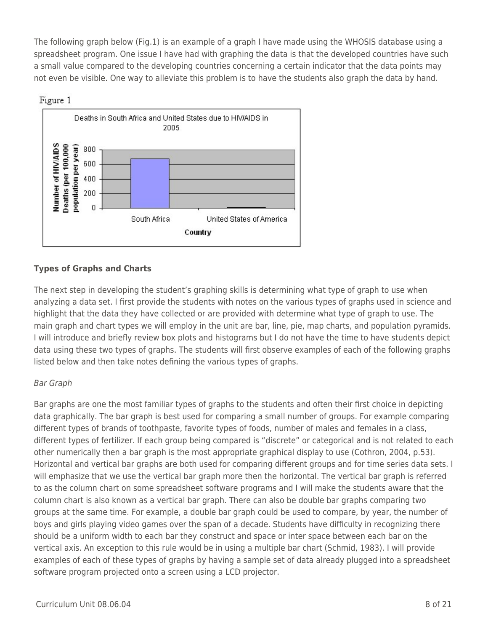The following graph below (Fig.1) is an example of a graph I have made using the WHOSIS database using a spreadsheet program. One issue I have had with graphing the data is that the developed countries have such a small value compared to the developing countries concerning a certain indicator that the data points may not even be visible. One way to alleviate this problem is to have the students also graph the data by hand.





### **Types of Graphs and Charts**

The next step in developing the student's graphing skills is determining what type of graph to use when analyzing a data set. I first provide the students with notes on the various types of graphs used in science and highlight that the data they have collected or are provided with determine what type of graph to use. The main graph and chart types we will employ in the unit are bar, line, pie, map charts, and population pyramids. I will introduce and briefly review box plots and histograms but I do not have the time to have students depict data using these two types of graphs. The students will first observe examples of each of the following graphs listed below and then take notes defining the various types of graphs.

### Bar Graph

Bar graphs are one the most familiar types of graphs to the students and often their first choice in depicting data graphically. The bar graph is best used for comparing a small number of groups. For example comparing different types of brands of toothpaste, favorite types of foods, number of males and females in a class, different types of fertilizer. If each group being compared is "discrete" or categorical and is not related to each other numerically then a bar graph is the most appropriate graphical display to use (Cothron, 2004, p.53). Horizontal and vertical bar graphs are both used for comparing different groups and for time series data sets. I will emphasize that we use the vertical bar graph more then the horizontal. The vertical bar graph is referred to as the column chart on some spreadsheet software programs and I will make the students aware that the column chart is also known as a vertical bar graph. There can also be double bar graphs comparing two groups at the same time. For example, a double bar graph could be used to compare, by year, the number of boys and girls playing video games over the span of a decade. Students have difficulty in recognizing there should be a uniform width to each bar they construct and space or inter space between each bar on the vertical axis. An exception to this rule would be in using a multiple bar chart (Schmid, 1983). I will provide examples of each of these types of graphs by having a sample set of data already plugged into a spreadsheet software program projected onto a screen using a LCD projector.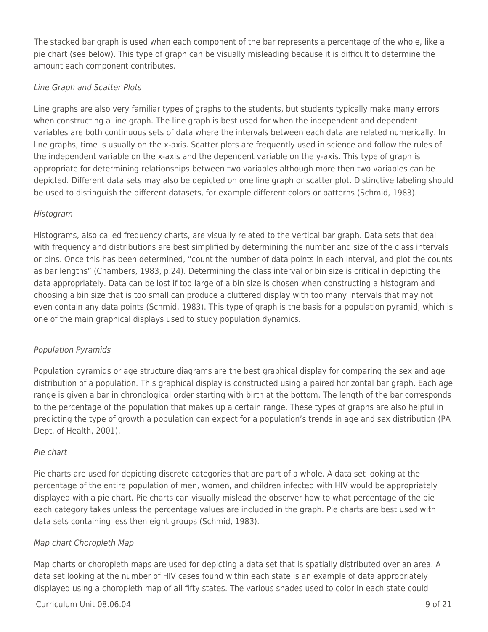The stacked bar graph is used when each component of the bar represents a percentage of the whole, like a pie chart (see below). This type of graph can be visually misleading because it is difficult to determine the amount each component contributes.

### Line Graph and Scatter Plots

Line graphs are also very familiar types of graphs to the students, but students typically make many errors when constructing a line graph. The line graph is best used for when the independent and dependent variables are both continuous sets of data where the intervals between each data are related numerically. In line graphs, time is usually on the x-axis. Scatter plots are frequently used in science and follow the rules of the independent variable on the x-axis and the dependent variable on the y-axis. This type of graph is appropriate for determining relationships between two variables although more then two variables can be depicted. Different data sets may also be depicted on one line graph or scatter plot. Distinctive labeling should be used to distinguish the different datasets, for example different colors or patterns (Schmid, 1983).

### Histogram

Histograms, also called frequency charts, are visually related to the vertical bar graph. Data sets that deal with frequency and distributions are best simplified by determining the number and size of the class intervals or bins. Once this has been determined, "count the number of data points in each interval, and plot the counts as bar lengths" (Chambers, 1983, p.24). Determining the class interval or bin size is critical in depicting the data appropriately. Data can be lost if too large of a bin size is chosen when constructing a histogram and choosing a bin size that is too small can produce a cluttered display with too many intervals that may not even contain any data points (Schmid, 1983). This type of graph is the basis for a population pyramid, which is one of the main graphical displays used to study population dynamics.

### Population Pyramids

Population pyramids or age structure diagrams are the best graphical display for comparing the sex and age distribution of a population. This graphical display is constructed using a paired horizontal bar graph. Each age range is given a bar in chronological order starting with birth at the bottom. The length of the bar corresponds to the percentage of the population that makes up a certain range. These types of graphs are also helpful in predicting the type of growth a population can expect for a population's trends in age and sex distribution (PA Dept. of Health, 2001).

### Pie chart

Pie charts are used for depicting discrete categories that are part of a whole. A data set looking at the percentage of the entire population of men, women, and children infected with HIV would be appropriately displayed with a pie chart. Pie charts can visually mislead the observer how to what percentage of the pie each category takes unless the percentage values are included in the graph. Pie charts are best used with data sets containing less then eight groups (Schmid, 1983).

### Map chart Choropleth Map

Map charts or choropleth maps are used for depicting a data set that is spatially distributed over an area. A data set looking at the number of HIV cases found within each state is an example of data appropriately displayed using a choropleth map of all fifty states. The various shades used to color in each state could

### $C$ urriculum Unit 08.06.04 9 of 21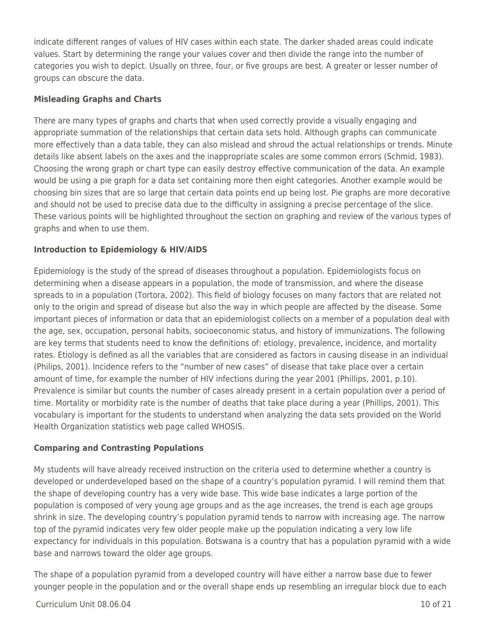indicate different ranges of values of HIV cases within each state. The darker shaded areas could indicate values. Start by determining the range your values cover and then divide the range into the number of categories you wish to depict. Usually on three, four, or five groups are best. A greater or lesser number of groups can obscure the data.

#### **Misleading Graphs and Charts**

There are many types of graphs and charts that when used correctly provide a visually engaging and appropriate summation of the relationships that certain data sets hold. Although graphs can communicate more effectively than a data table, they can also mislead and shroud the actual relationships or trends. Minute details like absent labels on the axes and the inappropriate scales are some common errors (Schmid, 1983). Choosing the wrong graph or chart type can easily destroy effective communication of the data. An example would be using a pie graph for a data set containing more then eight categories. Another example would be choosing bin sizes that are so large that certain data points end up being lost. Pie graphs are more decorative and should not be used to precise data due to the difficulty in assigning a precise percentage of the slice. These various points will be highlighted throughout the section on graphing and review of the various types of graphs and when to use them.

### **Introduction to Epidemiology & HIV/AIDS**

Epidemiology is the study of the spread of diseases throughout a population. Epidemiologists focus on determining when a disease appears in a population, the mode of transmission, and where the disease spreads to in a population (Tortora, 2002). This field of biology focuses on many factors that are related not only to the origin and spread of disease but also the way in which people are affected by the disease. Some important pieces of information or data that an epidemiologist collects on a member of a population deal with the age, sex, occupation, personal habits, socioeconomic status, and history of immunizations. The following are key terms that students need to know the definitions of: etiology, prevalence, incidence, and mortality rates. Etiology is defined as all the variables that are considered as factors in causing disease in an individual (Philips, 2001). Incidence refers to the "number of new cases" of disease that take place over a certain amount of time, for example the number of HIV infections during the year 2001 (Phillips, 2001, p.10). Prevalence is similar but counts the number of cases already present in a certain population over a period of time. Mortality or morbidity rate is the number of deaths that take place during a year (Phillips, 2001). This vocabulary is important for the students to understand when analyzing the data sets provided on the World Health Organization statistics web page called WHOSIS.

#### **Comparing and Contrasting Populations**

My students will have already received instruction on the criteria used to determine whether a country is developed or underdeveloped based on the shape of a country's population pyramid. I will remind them that the shape of developing country has a very wide base. This wide base indicates a large portion of the population is composed of very young age groups and as the age increases, the trend is each age groups shrink in size. The developing country's population pyramid tends to narrow with increasing age. The narrow top of the pyramid indicates very few older people make up the population indicating a very low life expectancy for individuals in this population. Botswana is a country that has a population pyramid with a wide base and narrows toward the older age groups.

The shape of a population pyramid from a developed country will have either a narrow base due to fewer younger people in the population and or the overall shape ends up resembling an irregular block due to each

#### $C$ urriculum Unit 08.06.04  $\qquad$  10 of 21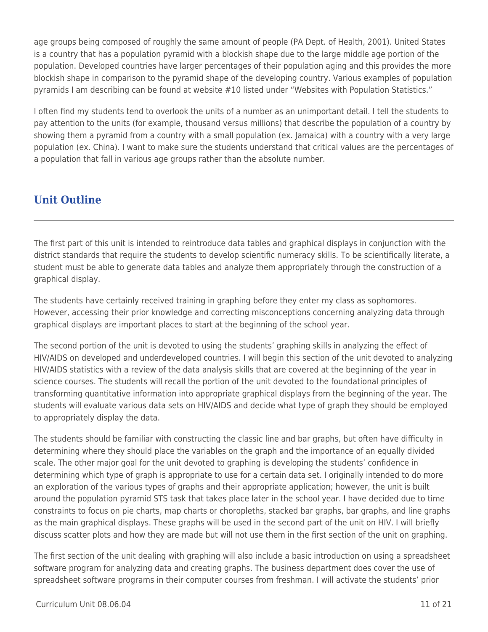age groups being composed of roughly the same amount of people (PA Dept. of Health, 2001). United States is a country that has a population pyramid with a blockish shape due to the large middle age portion of the population. Developed countries have larger percentages of their population aging and this provides the more blockish shape in comparison to the pyramid shape of the developing country. Various examples of population pyramids I am describing can be found at website #10 listed under "Websites with Population Statistics."

I often find my students tend to overlook the units of a number as an unimportant detail. I tell the students to pay attention to the units (for example, thousand versus millions) that describe the population of a country by showing them a pyramid from a country with a small population (ex. Jamaica) with a country with a very large population (ex. China). I want to make sure the students understand that critical values are the percentages of a population that fall in various age groups rather than the absolute number.

# **Unit Outline**

The first part of this unit is intended to reintroduce data tables and graphical displays in conjunction with the district standards that require the students to develop scientific numeracy skills. To be scientifically literate, a student must be able to generate data tables and analyze them appropriately through the construction of a graphical display.

The students have certainly received training in graphing before they enter my class as sophomores. However, accessing their prior knowledge and correcting misconceptions concerning analyzing data through graphical displays are important places to start at the beginning of the school year.

The second portion of the unit is devoted to using the students' graphing skills in analyzing the effect of HIV/AIDS on developed and underdeveloped countries. I will begin this section of the unit devoted to analyzing HIV/AIDS statistics with a review of the data analysis skills that are covered at the beginning of the year in science courses. The students will recall the portion of the unit devoted to the foundational principles of transforming quantitative information into appropriate graphical displays from the beginning of the year. The students will evaluate various data sets on HIV/AIDS and decide what type of graph they should be employed to appropriately display the data.

The students should be familiar with constructing the classic line and bar graphs, but often have difficulty in determining where they should place the variables on the graph and the importance of an equally divided scale. The other major goal for the unit devoted to graphing is developing the students' confidence in determining which type of graph is appropriate to use for a certain data set. I originally intended to do more an exploration of the various types of graphs and their appropriate application; however, the unit is built around the population pyramid STS task that takes place later in the school year. I have decided due to time constraints to focus on pie charts, map charts or choropleths, stacked bar graphs, bar graphs, and line graphs as the main graphical displays. These graphs will be used in the second part of the unit on HIV. I will briefly discuss scatter plots and how they are made but will not use them in the first section of the unit on graphing.

The first section of the unit dealing with graphing will also include a basic introduction on using a spreadsheet software program for analyzing data and creating graphs. The business department does cover the use of spreadsheet software programs in their computer courses from freshman. I will activate the students' prior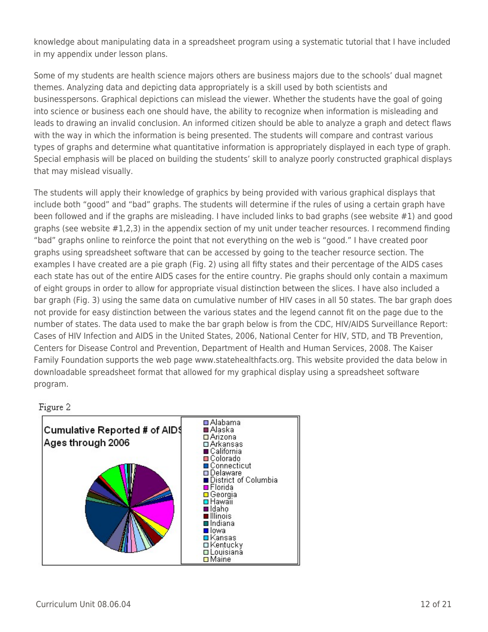knowledge about manipulating data in a spreadsheet program using a systematic tutorial that I have included in my appendix under lesson plans.

Some of my students are health science majors others are business majors due to the schools' dual magnet themes. Analyzing data and depicting data appropriately is a skill used by both scientists and businesspersons. Graphical depictions can mislead the viewer. Whether the students have the goal of going into science or business each one should have, the ability to recognize when information is misleading and leads to drawing an invalid conclusion. An informed citizen should be able to analyze a graph and detect flaws with the way in which the information is being presented. The students will compare and contrast various types of graphs and determine what quantitative information is appropriately displayed in each type of graph. Special emphasis will be placed on building the students' skill to analyze poorly constructed graphical displays that may mislead visually.

The students will apply their knowledge of graphics by being provided with various graphical displays that include both "good" and "bad" graphs. The students will determine if the rules of using a certain graph have been followed and if the graphs are misleading. I have included links to bad graphs (see website #1) and good graphs (see website #1,2,3) in the appendix section of my unit under teacher resources. I recommend finding "bad" graphs online to reinforce the point that not everything on the web is "good." I have created poor graphs using spreadsheet software that can be accessed by going to the teacher resource section. The examples I have created are a pie graph (Fig. 2) using all fifty states and their percentage of the AIDS cases each state has out of the entire AIDS cases for the entire country. Pie graphs should only contain a maximum of eight groups in order to allow for appropriate visual distinction between the slices. I have also included a bar graph (Fig. 3) using the same data on cumulative number of HIV cases in all 50 states. The bar graph does not provide for easy distinction between the various states and the legend cannot fit on the page due to the number of states. The data used to make the bar graph below is from the CDC, HIV/AIDS Surveillance Report: Cases of HIV Infection and AIDS in the United States, 2006, National Center for HIV, STD, and TB Prevention, Centers for Disease Control and Prevention, Department of Health and Human Services, 2008. The Kaiser Family Foundation supports the web page www.statehealthfacts.org. This website provided the data below in downloadable spreadsheet format that allowed for my graphical display using a spreadsheet software program.

### Figure 2

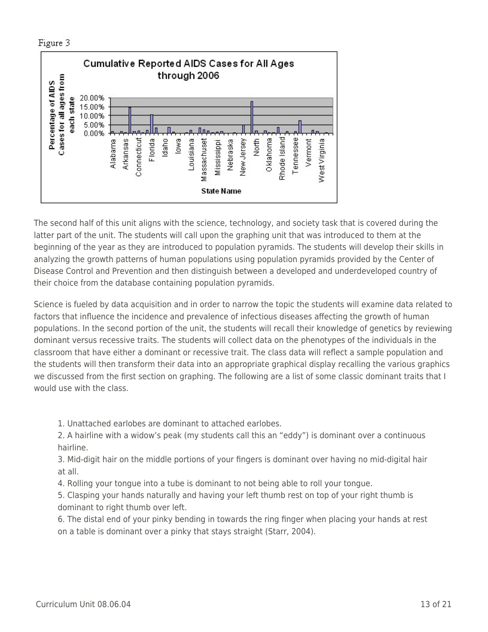Figure 3



The second half of this unit aligns with the science, technology, and society task that is covered during the latter part of the unit. The students will call upon the graphing unit that was introduced to them at the beginning of the year as they are introduced to population pyramids. The students will develop their skills in analyzing the growth patterns of human populations using population pyramids provided by the Center of Disease Control and Prevention and then distinguish between a developed and underdeveloped country of their choice from the database containing population pyramids.

Science is fueled by data acquisition and in order to narrow the topic the students will examine data related to factors that influence the incidence and prevalence of infectious diseases affecting the growth of human populations. In the second portion of the unit, the students will recall their knowledge of genetics by reviewing dominant versus recessive traits. The students will collect data on the phenotypes of the individuals in the classroom that have either a dominant or recessive trait. The class data will reflect a sample population and the students will then transform their data into an appropriate graphical display recalling the various graphics we discussed from the first section on graphing. The following are a list of some classic dominant traits that I would use with the class.

1. Unattached earlobes are dominant to attached earlobes.

2. A hairline with a widow's peak (my students call this an "eddy") is dominant over a continuous hairline.

3. Mid-digit hair on the middle portions of your fingers is dominant over having no mid-digital hair at all.

4. Rolling your tongue into a tube is dominant to not being able to roll your tongue.

5. Clasping your hands naturally and having your left thumb rest on top of your right thumb is dominant to right thumb over left.

6. The distal end of your pinky bending in towards the ring finger when placing your hands at rest on a table is dominant over a pinky that stays straight (Starr, 2004).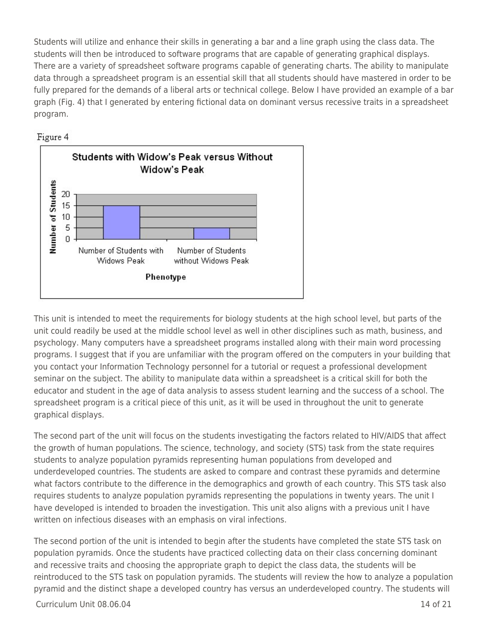Students will utilize and enhance their skills in generating a bar and a line graph using the class data. The students will then be introduced to software programs that are capable of generating graphical displays. There are a variety of spreadsheet software programs capable of generating charts. The ability to manipulate data through a spreadsheet program is an essential skill that all students should have mastered in order to be fully prepared for the demands of a liberal arts or technical college. Below I have provided an example of a bar graph (Fig. 4) that I generated by entering fictional data on dominant versus recessive traits in a spreadsheet program.



Figure 4

This unit is intended to meet the requirements for biology students at the high school level, but parts of the unit could readily be used at the middle school level as well in other disciplines such as math, business, and psychology. Many computers have a spreadsheet programs installed along with their main word processing programs. I suggest that if you are unfamiliar with the program offered on the computers in your building that you contact your Information Technology personnel for a tutorial or request a professional development seminar on the subject. The ability to manipulate data within a spreadsheet is a critical skill for both the educator and student in the age of data analysis to assess student learning and the success of a school. The spreadsheet program is a critical piece of this unit, as it will be used in throughout the unit to generate graphical displays.

The second part of the unit will focus on the students investigating the factors related to HIV/AIDS that affect the growth of human populations. The science, technology, and society (STS) task from the state requires students to analyze population pyramids representing human populations from developed and underdeveloped countries. The students are asked to compare and contrast these pyramids and determine what factors contribute to the difference in the demographics and growth of each country. This STS task also requires students to analyze population pyramids representing the populations in twenty years. The unit I have developed is intended to broaden the investigation. This unit also aligns with a previous unit I have written on infectious diseases with an emphasis on viral infections.

The second portion of the unit is intended to begin after the students have completed the state STS task on population pyramids. Once the students have practiced collecting data on their class concerning dominant and recessive traits and choosing the appropriate graph to depict the class data, the students will be reintroduced to the STS task on population pyramids. The students will review the how to analyze a population pyramid and the distinct shape a developed country has versus an underdeveloped country. The students will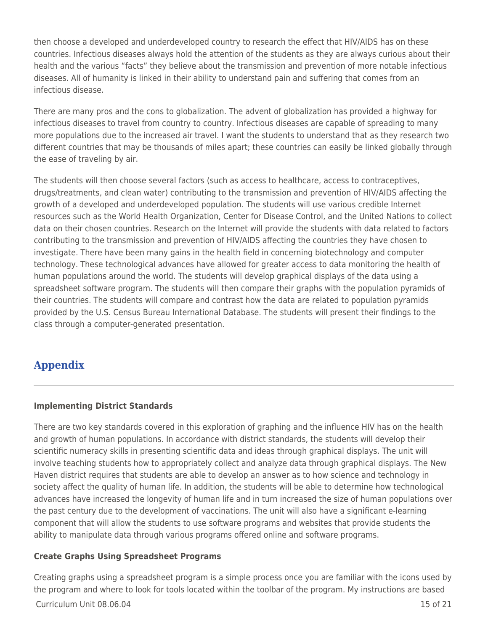then choose a developed and underdeveloped country to research the effect that HIV/AIDS has on these countries. Infectious diseases always hold the attention of the students as they are always curious about their health and the various "facts" they believe about the transmission and prevention of more notable infectious diseases. All of humanity is linked in their ability to understand pain and suffering that comes from an infectious disease.

There are many pros and the cons to globalization. The advent of globalization has provided a highway for infectious diseases to travel from country to country. Infectious diseases are capable of spreading to many more populations due to the increased air travel. I want the students to understand that as they research two different countries that may be thousands of miles apart; these countries can easily be linked globally through the ease of traveling by air.

The students will then choose several factors (such as access to healthcare, access to contraceptives, drugs/treatments, and clean water) contributing to the transmission and prevention of HIV/AIDS affecting the growth of a developed and underdeveloped population. The students will use various credible Internet resources such as the World Health Organization, Center for Disease Control, and the United Nations to collect data on their chosen countries. Research on the Internet will provide the students with data related to factors contributing to the transmission and prevention of HIV/AIDS affecting the countries they have chosen to investigate. There have been many gains in the health field in concerning biotechnology and computer technology. These technological advances have allowed for greater access to data monitoring the health of human populations around the world. The students will develop graphical displays of the data using a spreadsheet software program. The students will then compare their graphs with the population pyramids of their countries. The students will compare and contrast how the data are related to population pyramids provided by the U.S. Census Bureau International Database. The students will present their findings to the class through a computer-generated presentation.

## **Appendix**

### **Implementing District Standards**

There are two key standards covered in this exploration of graphing and the influence HIV has on the health and growth of human populations. In accordance with district standards, the students will develop their scientific numeracy skills in presenting scientific data and ideas through graphical displays. The unit will involve teaching students how to appropriately collect and analyze data through graphical displays. The New Haven district requires that students are able to develop an answer as to how science and technology in society affect the quality of human life. In addition, the students will be able to determine how technological advances have increased the longevity of human life and in turn increased the size of human populations over the past century due to the development of vaccinations. The unit will also have a significant e-learning component that will allow the students to use software programs and websites that provide students the ability to manipulate data through various programs offered online and software programs.

### **Create Graphs Using Spreadsheet Programs**

Creating graphs using a spreadsheet program is a simple process once you are familiar with the icons used by the program and where to look for tools located within the toolbar of the program. My instructions are based

 $C$ urriculum Unit 08.06.04 15 of 21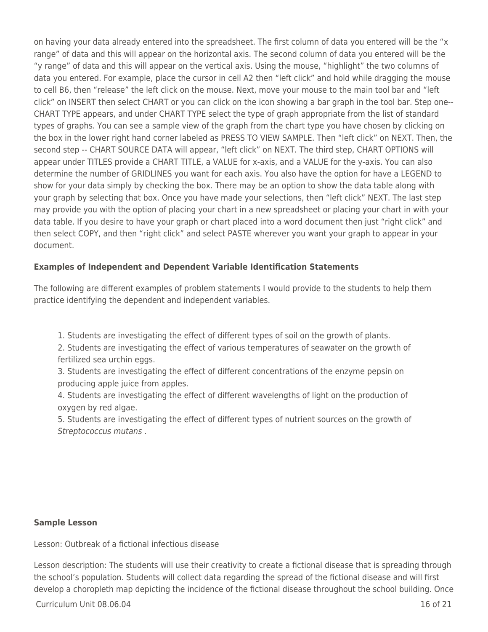on having your data already entered into the spreadsheet. The first column of data you entered will be the "x range" of data and this will appear on the horizontal axis. The second column of data you entered will be the "y range" of data and this will appear on the vertical axis. Using the mouse, "highlight" the two columns of data you entered. For example, place the cursor in cell A2 then "left click" and hold while dragging the mouse to cell B6, then "release" the left click on the mouse. Next, move your mouse to the main tool bar and "left click" on INSERT then select CHART or you can click on the icon showing a bar graph in the tool bar. Step one-- CHART TYPE appears, and under CHART TYPE select the type of graph appropriate from the list of standard types of graphs. You can see a sample view of the graph from the chart type you have chosen by clicking on the box in the lower right hand corner labeled as PRESS TO VIEW SAMPLE. Then "left click" on NEXT. Then, the second step -- CHART SOURCE DATA will appear, "left click" on NEXT. The third step, CHART OPTIONS will appear under TITLES provide a CHART TITLE, a VALUE for x-axis, and a VALUE for the y-axis. You can also determine the number of GRIDLINES you want for each axis. You also have the option for have a LEGEND to show for your data simply by checking the box. There may be an option to show the data table along with your graph by selecting that box. Once you have made your selections, then "left click" NEXT. The last step may provide you with the option of placing your chart in a new spreadsheet or placing your chart in with your data table. If you desire to have your graph or chart placed into a word document then just "right click" and then select COPY, and then "right click" and select PASTE wherever you want your graph to appear in your document.

### **Examples of Independent and Dependent Variable Identification Statements**

The following are different examples of problem statements I would provide to the students to help them practice identifying the dependent and independent variables.

1. Students are investigating the effect of different types of soil on the growth of plants.

2. Students are investigating the effect of various temperatures of seawater on the growth of fertilized sea urchin eggs.

3. Students are investigating the effect of different concentrations of the enzyme pepsin on producing apple juice from apples.

4. Students are investigating the effect of different wavelengths of light on the production of oxygen by red algae.

5. Students are investigating the effect of different types of nutrient sources on the growth of Streptococcus mutans .

#### **Sample Lesson**

Lesson: Outbreak of a fictional infectious disease

Lesson description: The students will use their creativity to create a fictional disease that is spreading through the school's population. Students will collect data regarding the spread of the fictional disease and will first develop a choropleth map depicting the incidence of the fictional disease throughout the school building. Once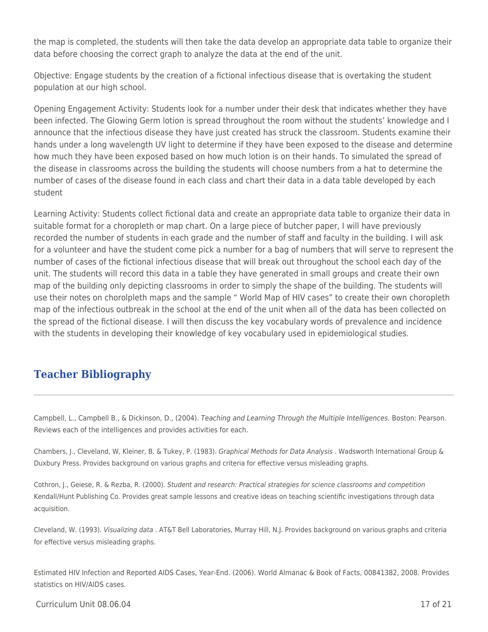the map is completed, the students will then take the data develop an appropriate data table to organize their data before choosing the correct graph to analyze the data at the end of the unit.

Objective: Engage students by the creation of a fictional infectious disease that is overtaking the student population at our high school.

Opening Engagement Activity: Students look for a number under their desk that indicates whether they have been infected. The Glowing Germ lotion is spread throughout the room without the students' knowledge and I announce that the infectious disease they have just created has struck the classroom. Students examine their hands under a long wavelength UV light to determine if they have been exposed to the disease and determine how much they have been exposed based on how much lotion is on their hands. To simulated the spread of the disease in classrooms across the building the students will choose numbers from a hat to determine the number of cases of the disease found in each class and chart their data in a data table developed by each student

Learning Activity: Students collect fictional data and create an appropriate data table to organize their data in suitable format for a choropleth or map chart. On a large piece of butcher paper, I will have previously recorded the number of students in each grade and the number of staff and faculty in the building. I will ask for a volunteer and have the student come pick a number for a bag of numbers that will serve to represent the number of cases of the fictional infectious disease that will break out throughout the school each day of the unit. The students will record this data in a table they have generated in small groups and create their own map of the building only depicting classrooms in order to simply the shape of the building. The students will use their notes on chorolpleth maps and the sample " World Map of HIV cases" to create their own choropleth map of the infectious outbreak in the school at the end of the unit when all of the data has been collected on the spread of the fictional disease. I will then discuss the key vocabulary words of prevalence and incidence with the students in developing their knowledge of key vocabulary used in epidemiological studies.

# **Teacher Bibliography**

Campbell, L., Campbell B., & Dickinson, D., (2004). Teaching and Learning Through the Multiple Intelligences. Boston: Pearson. Reviews each of the intelligences and provides activities for each.

Chambers, J., Cleveland, W, Kleiner, B. & Tukey, P. (1983). Graphical Methods for Data Analysis . Wadsworth International Group & Duxbury Press. Provides background on various graphs and criteria for effective versus misleading graphs.

Cothron, J., Geiese, R. & Rezba, R. (2000). Student and research: Practical strategies for science classrooms and competition Kendall/Hunt Publishing Co. Provides great sample lessons and creative ideas on teaching scientific investigations through data acquisition.

Cleveland, W. (1993). Visualizing data . AT&T Bell Laboratories, Murray Hill, N.J. Provides background on various graphs and criteria for effective versus misleading graphs.

Estimated HIV Infection and Reported AIDS Cases, Year-End. (2006). World Almanac & Book of Facts, 00841382, 2008. Provides statistics on HIV/AIDS cases.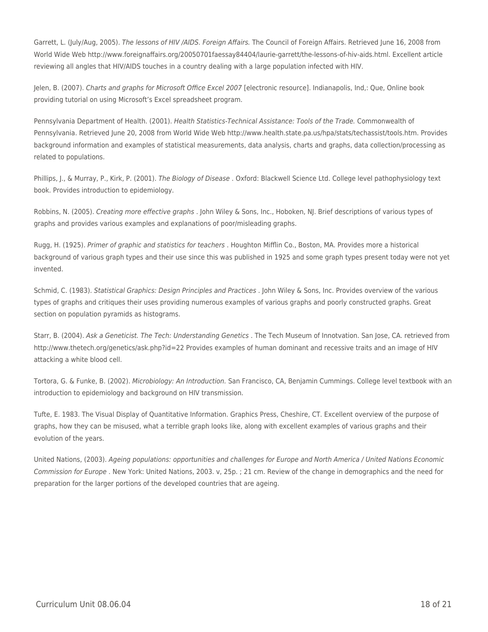Garrett, L. (July/Aug, 2005). The lessons of HIV /AIDS. Foreign Affairs. The Council of Foreign Affairs. Retrieved June 16, 2008 from World Wide Web http://www.foreignaffairs.org/20050701faessay84404/laurie-garrett/the-lessons-of-hiv-aids.html. Excellent article reviewing all angles that HIV/AIDS touches in a country dealing with a large population infected with HIV.

Jelen, B. (2007). Charts and graphs for Microsoft Office Excel 2007 [electronic resource]. Indianapolis, Ind,: Que, Online book providing tutorial on using Microsoft's Excel spreadsheet program.

Pennsylvania Department of Health. (2001). Health Statistics-Technical Assistance: Tools of the Trade. Commonwealth of Pennsylvania. Retrieved June 20, 2008 from World Wide Web http://www.health.state.pa.us/hpa/stats/techassist/tools.htm. Provides background information and examples of statistical measurements, data analysis, charts and graphs, data collection/processing as related to populations.

Phillips, I., & Murray, P., Kirk, P. (2001). The Biology of Disease . Oxford: Blackwell Science Ltd. College level pathophysiology text book. Provides introduction to epidemiology.

Robbins, N. (2005). Creating more effective graphs . John Wiley & Sons, Inc., Hoboken, NJ. Brief descriptions of various types of graphs and provides various examples and explanations of poor/misleading graphs.

Rugg, H. (1925). Primer of graphic and statistics for teachers . Houghton Mifflin Co., Boston, MA. Provides more a historical background of various graph types and their use since this was published in 1925 and some graph types present today were not yet invented.

Schmid, C. (1983). Statistical Graphics: Design Principles and Practices . John Wiley & Sons, Inc. Provides overview of the various types of graphs and critiques their uses providing numerous examples of various graphs and poorly constructed graphs. Great section on population pyramids as histograms.

Starr, B. (2004). Ask a Geneticist. The Tech: Understanding Genetics . The Tech Museum of Innotvation. San Jose, CA. retrieved from http://www.thetech.org/genetics/ask.php?id=22 Provides examples of human dominant and recessive traits and an image of HIV attacking a white blood cell.

Tortora, G. & Funke, B. (2002). Microbiology: An Introduction. San Francisco, CA, Benjamin Cummings. College level textbook with an introduction to epidemiology and background on HIV transmission.

Tufte, E. 1983. The Visual Display of Quantitative Information. Graphics Press, Cheshire, CT. Excellent overview of the purpose of graphs, how they can be misused, what a terrible graph looks like, along with excellent examples of various graphs and their evolution of the years.

United Nations, (2003). Ageing populations: opportunities and challenges for Europe and North America / United Nations Economic Commission for Europe . New York: United Nations, 2003. v, 25p. ; 21 cm. Review of the change in demographics and the need for preparation for the larger portions of the developed countries that are ageing.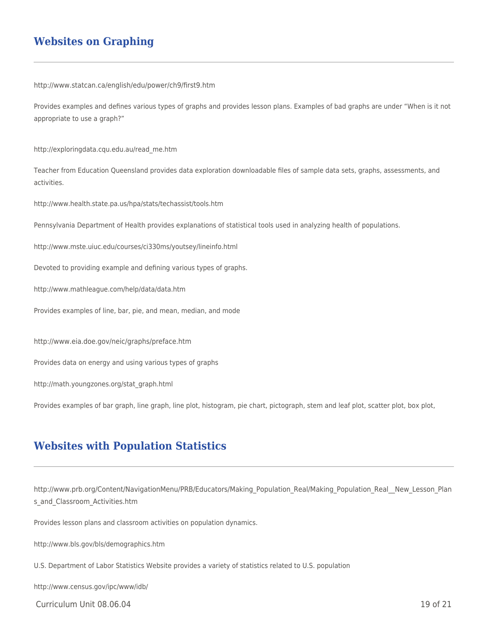## **Websites on Graphing**

http://www.statcan.ca/english/edu/power/ch9/first9.htm

Provides examples and defines various types of graphs and provides lesson plans. Examples of bad graphs are under "When is it not appropriate to use a graph?"

http://exploringdata.cqu.edu.au/read\_me.htm

Teacher from Education Queensland provides data exploration downloadable files of sample data sets, graphs, assessments, and activities.

http://www.health.state.pa.us/hpa/stats/techassist/tools.htm

Pennsylvania Department of Health provides explanations of statistical tools used in analyzing health of populations.

http://www.mste.uiuc.edu/courses/ci330ms/youtsey/lineinfo.html

Devoted to providing example and defining various types of graphs.

http://www.mathleague.com/help/data/data.htm

Provides examples of line, bar, pie, and mean, median, and mode

http://www.eia.doe.gov/neic/graphs/preface.htm

Provides data on energy and using various types of graphs

http://math.youngzones.org/stat\_graph.html

Provides examples of bar graph, line graph, line plot, histogram, pie chart, pictograph, stem and leaf plot, scatter plot, box plot,

### **Websites with Population Statistics**

http://www.prb.org/Content/NavigationMenu/PRB/Educators/Making\_Population\_Real/Making\_Population\_Real\_\_New\_Lesson\_Plan s and Classroom Activities.htm

Provides lesson plans and classroom activities on population dynamics.

http://www.bls.gov/bls/demographics.htm

U.S. Department of Labor Statistics Website provides a variety of statistics related to U.S. population

http://www.census.gov/ipc/www/idb/

 $C$ urriculum Unit 08.06.04 19 of 21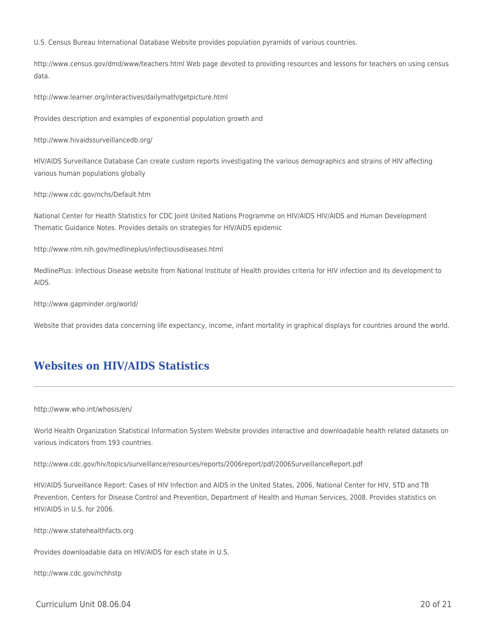U.S. Census Bureau International Database Website provides population pyramids of various countries.

http://www.census.gov/dmd/www/teachers.html Web page devoted to providing resources and lessons for teachers on using census data.

http://www.learner.org/interactives/dailymath/getpicture.html

Provides description and examples of exponential population growth and

http://www.hivaidssurveillancedb.org/

HIV/AIDS Surveillance Database Can create custom reports investigating the various demographics and strains of HIV affecting various human populations globally

http://www.cdc.gov/nchs/Default.htm

National Center for Health Statistics for CDC Joint United Nations Programme on HIV/AIDS HIV/AIDS and Human Development Thematic Guidance Notes. Provides details on strategies for HIV/AIDS epidemic

http://www.nlm.nih.gov/medlineplus/infectiousdiseases.html

MedlinePlus: Infectious Disease website from National Institute of Health provides criteria for HIV infection and its development to AIDS.

http://www.gapminder.org/world/

Website that provides data concerning life expectancy, income, infant mortality in graphical displays for countries around the world.

## **Websites on HIV/AIDS Statistics**

http://www.who.int/whosis/en/

World Health Organization Statistical Information System Website provides interactive and downloadable health related datasets on various indicators from 193 countries.

http://www.cdc.gov/hiv/topics/surveillance/resources/reports/2006report/pdf/2006SurveillanceReport.pdf

HIV/AIDS Surveillance Report: Cases of HIV Infection and AIDS in the United States, 2006, National Center for HIV, STD and TB Prevention, Centers for Disease Control and Prevention, Department of Health and Human Services, 2008. Provides statistics on HIV/AIDS in U.S. for 2006.

http://www.statehealthfacts.org

Provides downloadable data on HIV/AIDS for each state in U.S.

http://www.cdc.gov/nchhstp

Curriculum Unit 08.06.04 20 of 21